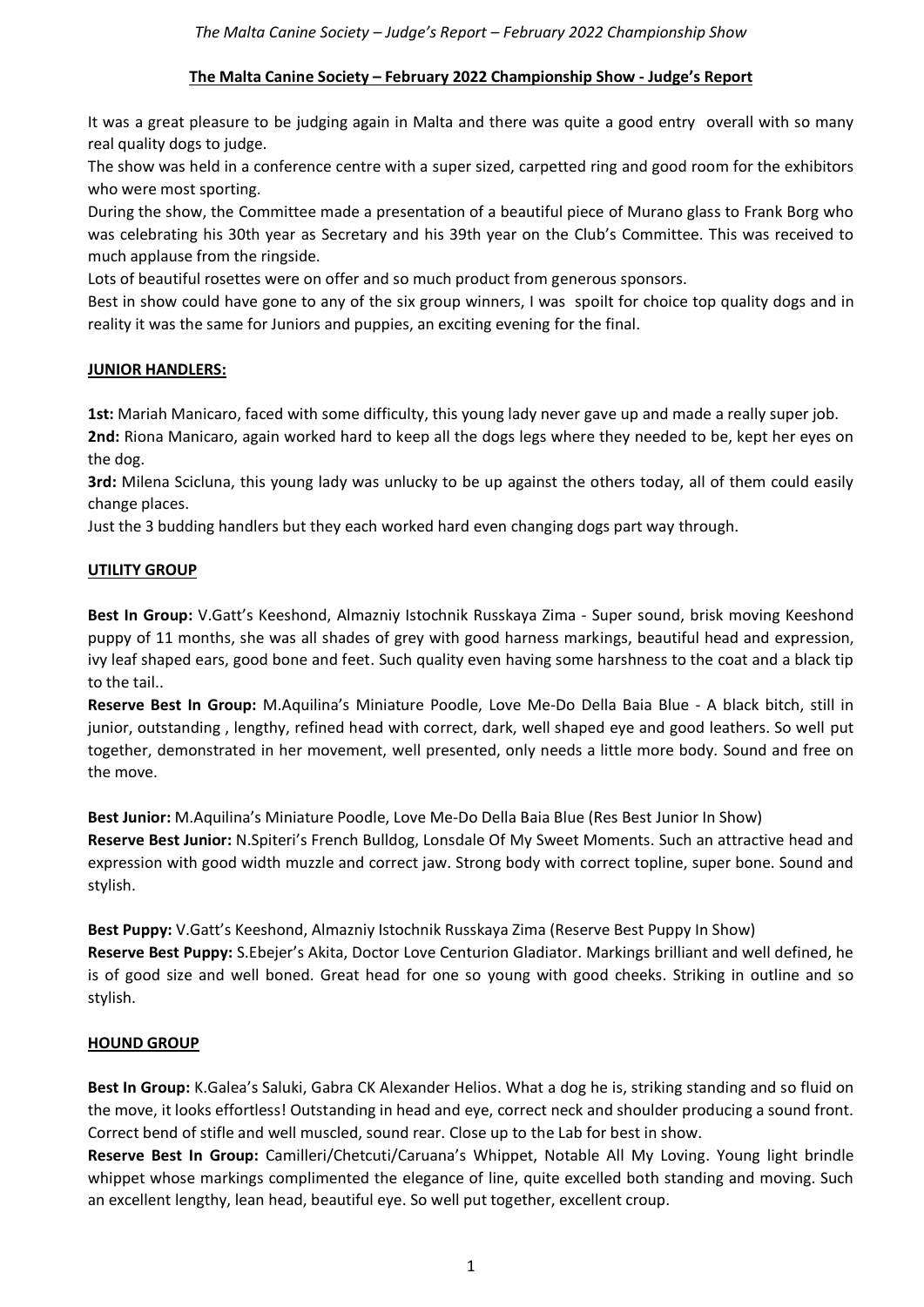# **The Malta Canine Society – February 2022 Championship Show - Judge's Report**

It was a great pleasure to be judging again in Malta and there was quite a good entry overall with so many real quality dogs to judge.

The show was held in a conference centre with a super sized, carpetted ring and good room for the exhibitors who were most sporting.

During the show, the Committee made a presentation of a beautiful piece of Murano glass to Frank Borg who was celebrating his 30th year as Secretary and his 39th year on the Club's Committee. This was received to much applause from the ringside.

Lots of beautiful rosettes were on offer and so much product from generous sponsors.

Best in show could have gone to any of the six group winners, I was spoilt for choice top quality dogs and in reality it was the same for Juniors and puppies, an exciting evening for the final.

# **JUNIOR HANDLERS:**

**1st:** Mariah Manicaro, faced with some difficulty, this young lady never gave up and made a really super job.

**2nd:** Riona Manicaro, again worked hard to keep all the dogs legs where they needed to be, kept her eyes on the dog.

**3rd:** Milena Scicluna, this young lady was unlucky to be up against the others today, all of them could easily change places.

Just the 3 budding handlers but they each worked hard even changing dogs part way through.

# **UTILITY GROUP**

**Best In Group:** V.Gatt's Keeshond, Almazniy Istochnik Russkaya Zima - Super sound, brisk moving Keeshond puppy of 11 months, she was all shades of grey with good harness markings, beautiful head and expression, ivy leaf shaped ears, good bone and feet. Such quality even having some harshness to the coat and a black tip to the tail..

**Reserve Best In Group:** M.Aquilina's Miniature Poodle, Love Me-Do Della Baia Blue - A black bitch, still in junior, outstanding , lengthy, refined head with correct, dark, well shaped eye and good leathers. So well put together, demonstrated in her movement, well presented, only needs a little more body. Sound and free on the move.

**Best Junior:** M.Aquilina's Miniature Poodle, Love Me-Do Della Baia Blue (Res Best Junior In Show) **Reserve Best Junior:** N.Spiteri's French Bulldog, Lonsdale Of My Sweet Moments. Such an attractive head and expression with good width muzzle and correct jaw. Strong body with correct topline, super bone. Sound and stylish.

**Best Puppy:** V.Gatt's Keeshond, Almazniy Istochnik Russkaya Zima (Reserve Best Puppy In Show) **Reserve Best Puppy:** S.Ebejer's Akita, Doctor Love Centurion Gladiator. Markings brilliant and well defined, he is of good size and well boned. Great head for one so young with good cheeks. Striking in outline and so stylish.

# **HOUND GROUP**

**Best In Group:** K.Galea's Saluki, Gabra CK Alexander Helios. What a dog he is, striking standing and so fluid on the move, it looks effortless! Outstanding in head and eye, correct neck and shoulder producing a sound front. Correct bend of stifle and well muscled, sound rear. Close up to the Lab for best in show.

**Reserve Best In Group:** Camilleri/Chetcuti/Caruana's Whippet, Notable All My Loving. Young light brindle whippet whose markings complimented the elegance of line, quite excelled both standing and moving. Such an excellent lengthy, lean head, beautiful eye. So well put together, excellent croup.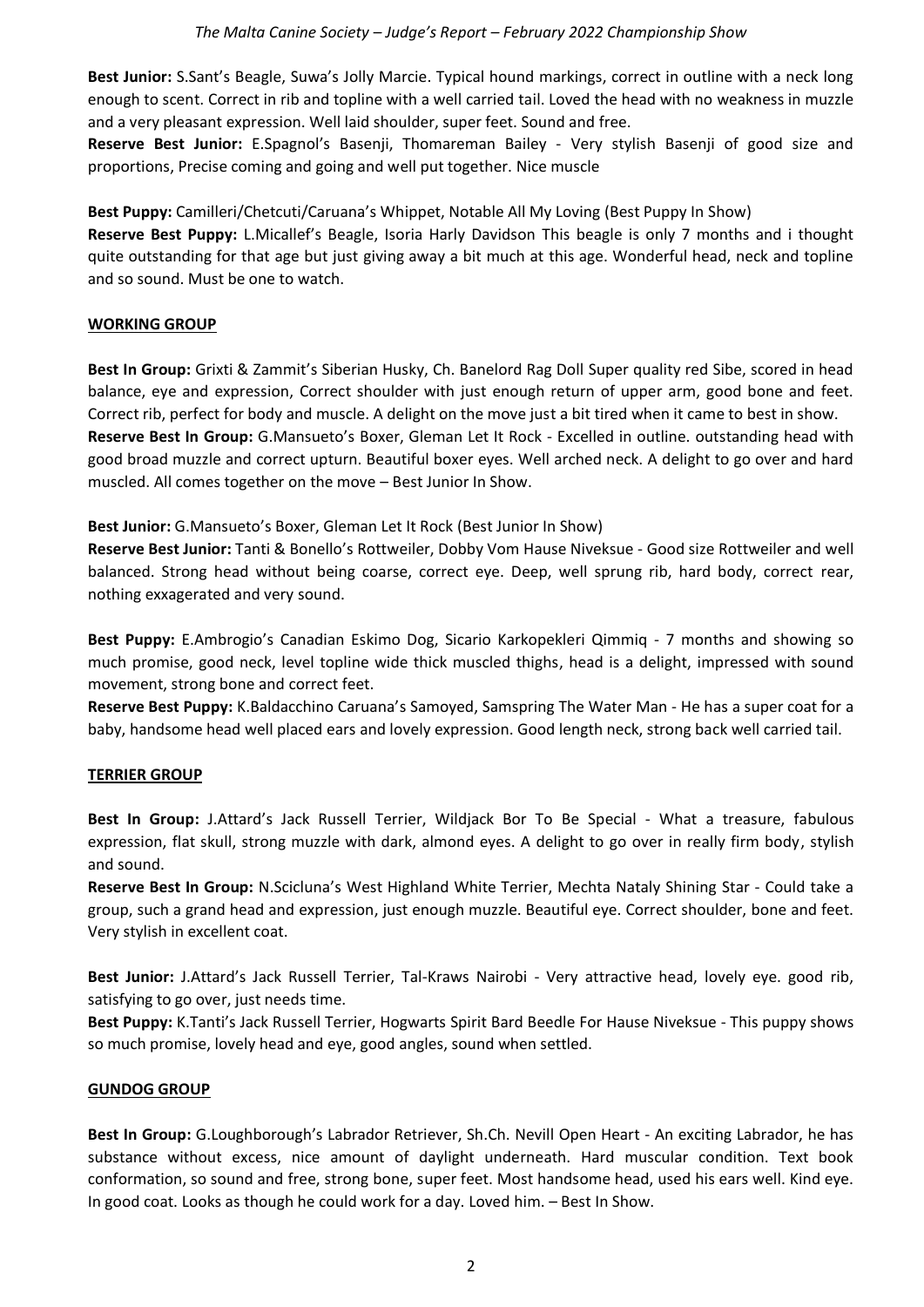**Best Junior:** S.Sant's Beagle, Suwa's Jolly Marcie. Typical hound markings, correct in outline with a neck long enough to scent. Correct in rib and topline with a well carried tail. Loved the head with no weakness in muzzle and a very pleasant expression. Well laid shoulder, super feet. Sound and free.

**Reserve Best Junior:** E.Spagnol's Basenji, Thomareman Bailey - Very stylish Basenji of good size and proportions, Precise coming and going and well put together. Nice muscle

**Best Puppy:** Camilleri/Chetcuti/Caruana's Whippet, Notable All My Loving (Best Puppy In Show) **Reserve Best Puppy:** L.Micallef's Beagle, Isoria Harly Davidson This beagle is only 7 months and i thought quite outstanding for that age but just giving away a bit much at this age. Wonderful head, neck and topline and so sound. Must be one to watch.

### **WORKING GROUP**

**Best In Group:** Grixti & Zammit's Siberian Husky, Ch. Banelord Rag Doll Super quality red Sibe, scored in head balance, eye and expression, Correct shoulder with just enough return of upper arm, good bone and feet. Correct rib, perfect for body and muscle. A delight on the move just a bit tired when it came to best in show. **Reserve Best In Group:** G.Mansueto's Boxer, Gleman Let It Rock - Excelled in outline. outstanding head with good broad muzzle and correct upturn. Beautiful boxer eyes. Well arched neck. A delight to go over and hard muscled. All comes together on the move – Best Junior In Show.

**Best Junior:** G.Mansueto's Boxer, Gleman Let It Rock (Best Junior In Show)

**Reserve Best Junior:** Tanti & Bonello's Rottweiler, Dobby Vom Hause Niveksue - Good size Rottweiler and well balanced. Strong head without being coarse, correct eye. Deep, well sprung rib, hard body, correct rear, nothing exxagerated and very sound.

**Best Puppy:** E.Ambrogio's Canadian Eskimo Dog, Sicario Karkopekleri Qimmiq - 7 months and showing so much promise, good neck, level topline wide thick muscled thighs, head is a delight, impressed with sound movement, strong bone and correct feet.

**Reserve Best Puppy:** K.Baldacchino Caruana's Samoyed, Samspring The Water Man - He has a super coat for a baby, handsome head well placed ears and lovely expression. Good length neck, strong back well carried tail.

### **TERRIER GROUP**

**Best In Group:** J.Attard's Jack Russell Terrier, Wildjack Bor To Be Special - What a treasure, fabulous expression, flat skull, strong muzzle with dark, almond eyes. A delight to go over in really firm body, stylish and sound.

**Reserve Best In Group:** N.Scicluna's West Highland White Terrier, Mechta Nataly Shining Star - Could take a group, such a grand head and expression, just enough muzzle. Beautiful eye. Correct shoulder, bone and feet. Very stylish in excellent coat.

**Best Junior:** J.Attard's Jack Russell Terrier, Tal-Kraws Nairobi - Very attractive head, lovely eye. good rib, satisfying to go over, just needs time.

**Best Puppy:** K.Tanti's Jack Russell Terrier, Hogwarts Spirit Bard Beedle For Hause Niveksue - This puppy shows so much promise, lovely head and eye, good angles, sound when settled.

#### **GUNDOG GROUP**

**Best In Group:** G.Loughborough's Labrador Retriever, Sh.Ch. Nevill Open Heart - An exciting Labrador, he has substance without excess, nice amount of daylight underneath. Hard muscular condition. Text book conformation, so sound and free, strong bone, super feet. Most handsome head, used his ears well. Kind eye. In good coat. Looks as though he could work for a day. Loved him. – Best In Show.